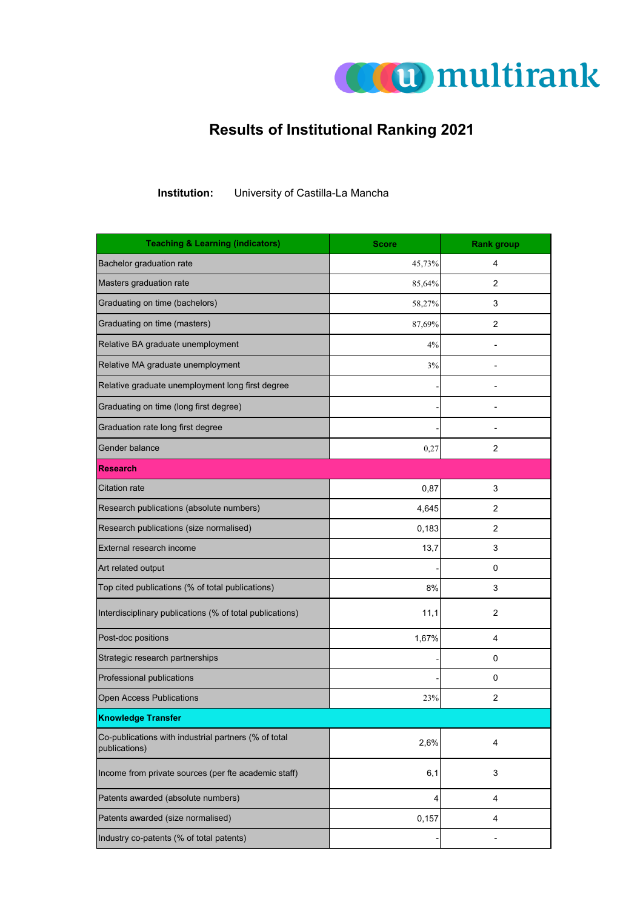

## **Results of Institutional Ranking 2021**

**Institution:** University of Castilla-La Mancha

| <b>Teaching &amp; Learning (indicators)</b>                           | <b>Score</b> | <b>Rank group</b>       |
|-----------------------------------------------------------------------|--------------|-------------------------|
| Bachelor graduation rate                                              | 45,73%       | 4                       |
| Masters graduation rate                                               | 85,64%       | 2                       |
| Graduating on time (bachelors)                                        | 58,27%       | 3                       |
| Graduating on time (masters)                                          | 87,69%       | $\overline{2}$          |
| Relative BA graduate unemployment                                     | 4%           | $\overline{a}$          |
| Relative MA graduate unemployment                                     | 3%           |                         |
| Relative graduate unemployment long first degree                      |              |                         |
| Graduating on time (long first degree)                                |              |                         |
| Graduation rate long first degree                                     |              |                         |
| Gender balance                                                        | 0,27         | 2                       |
| <b>Research</b>                                                       |              |                         |
| <b>Citation rate</b>                                                  | 0,87         | 3                       |
| Research publications (absolute numbers)                              | 4,645        | 2                       |
| Research publications (size normalised)                               | 0,183        | 2                       |
| External research income                                              | 13,7         | 3                       |
| Art related output                                                    |              | 0                       |
| Top cited publications (% of total publications)                      | 8%           | 3                       |
| Interdisciplinary publications (% of total publications)              | 11,1         | 2                       |
| Post-doc positions                                                    | 1,67%        | 4                       |
| Strategic research partnerships                                       |              | 0                       |
| Professional publications                                             |              | 0                       |
| <b>Open Access Publications</b>                                       | 23%          | 2                       |
| <b>Knowledge Transfer</b>                                             |              |                         |
| Co-publications with industrial partners (% of total<br>publications) | 2,6%         | 4                       |
| Income from private sources (per fte academic staff)                  | 6,1          | 3                       |
| Patents awarded (absolute numbers)                                    | 4            | 4                       |
| Patents awarded (size normalised)                                     | 0,157        | $\overline{\mathbf{4}}$ |
| Industry co-patents (% of total patents)                              |              | -                       |